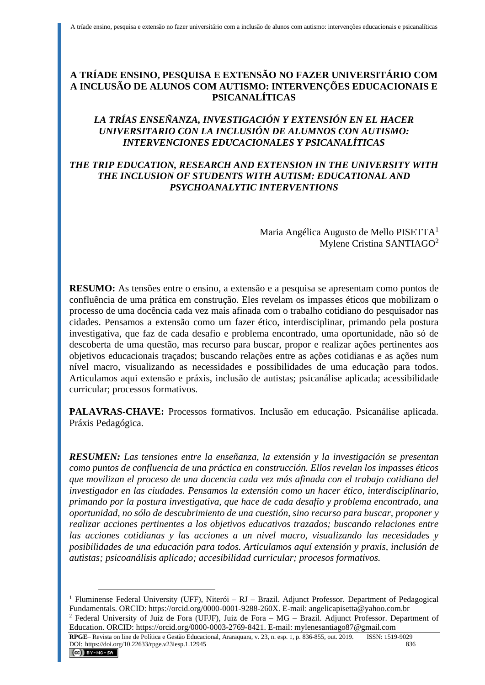## **A TRÍADE ENSINO, PESQUISA E EXTENSÃO NO FAZER UNIVERSITÁRIO COM A INCLUSÃO DE ALUNOS COM AUTISMO: INTERVENÇÕES EDUCACIONAIS E PSICANALÍTICAS**

## *LA TRÍAS ENSEÑANZA, INVESTIGACIÓN Y EXTENSIÓN EN EL HACER UNIVERSITARIO CON LA INCLUSIÓN DE ALUMNOS CON AUTISMO: INTERVENCIONES EDUCACIONALES Y PSICANALÍTICAS*

### *THE TRIP EDUCATION, RESEARCH AND EXTENSION IN THE UNIVERSITY WITH THE INCLUSION OF STUDENTS WITH AUTISM: EDUCATIONAL AND PSYCHOANALYTIC INTERVENTIONS*

Maria Angélica Augusto de Mello PISETTA<sup>1</sup> Mylene Cristina SANTIAGO<sup>2</sup>

**RESUMO:** As tensões entre o ensino, a extensão e a pesquisa se apresentam como pontos de confluência de uma prática em construção. Eles revelam os impasses éticos que mobilizam o processo de uma docência cada vez mais afinada com o trabalho cotidiano do pesquisador nas cidades. Pensamos a extensão como um fazer ético, interdisciplinar, primando pela postura investigativa, que faz de cada desafio e problema encontrado, uma oportunidade, não só de descoberta de uma questão, mas recurso para buscar, propor e realizar ações pertinentes aos objetivos educacionais traçados; buscando relações entre as ações cotidianas e as ações num nível macro, visualizando as necessidades e possibilidades de uma educação para todos. Articulamos aqui extensão e práxis, inclusão de autistas; psicanálise aplicada; acessibilidade curricular; processos formativos.

**PALAVRAS-CHAVE:** Processos formativos. Inclusão em educação. Psicanálise aplicada. Práxis Pedagógica.

*RESUMEN: Las tensiones entre la enseñanza, la extensión y la investigación se presentan como puntos de confluencia de una práctica en construcción. Ellos revelan los impasses éticos que movilizan el proceso de una docencia cada vez más afinada con el trabajo cotidiano del investigador en las ciudades. Pensamos la extensión como un hacer ético, interdisciplinario, primando por la postura investigativa, que hace de cada desafío y problema encontrado, una oportunidad, no sólo de descubrimiento de una cuestión, sino recurso para buscar, proponer y realizar acciones pertinentes a los objetivos educativos trazados; buscando relaciones entre las acciones cotidianas y las acciones a un nivel macro, visualizando las necesidades y posibilidades de una educación para todos. Articulamos aquí extensión y praxis, inclusión de autistas; psicoanálisis aplicado; accesibilidad curricular; procesos formativos.*

<sup>&</sup>lt;sup>1</sup> Fluminense Federal University (UFF), Niterói –  $RJ$  – Brazil. Adjunct Professor. Department of Pedagogical Fundamentals. ORCID: https://orcid.org/0000-0001-9288-260X. E-mail: angelicapisetta@yahoo.com.br

<sup>2</sup> Federal University of Juiz de Fora (UFJF), Juiz de Fora – MG – Brazil. Adjunct Professor. Department of Education. ORCID: https://orcid.org/0000-0003-2769-8421. E-mail: mylenesantiago87@gmail.com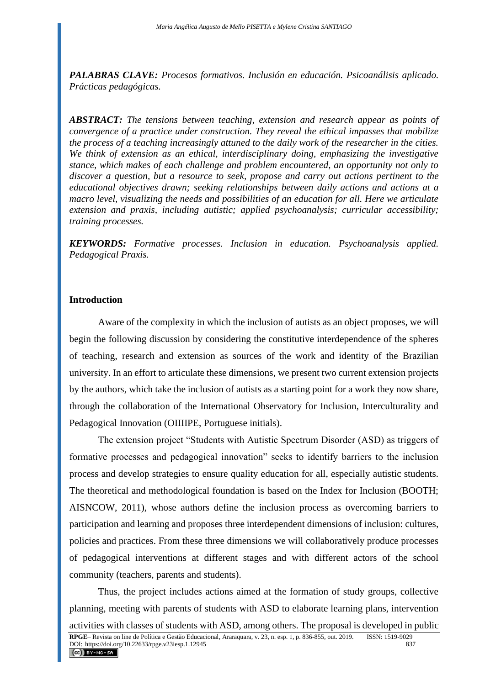*PALABRAS CLAVE: Procesos formativos. Inclusión en educación. Psicoanálisis aplicado. Prácticas pedagógicas.*

*ABSTRACT: The tensions between teaching, extension and research appear as points of convergence of a practice under construction. They reveal the ethical impasses that mobilize the process of a teaching increasingly attuned to the daily work of the researcher in the cities. We think of extension as an ethical, interdisciplinary doing, emphasizing the investigative stance, which makes of each challenge and problem encountered, an opportunity not only to discover a question, but a resource to seek, propose and carry out actions pertinent to the educational objectives drawn; seeking relationships between daily actions and actions at a macro level, visualizing the needs and possibilities of an education for all. Here we articulate extension and praxis, including autistic; applied psychoanalysis; curricular accessibility; training processes.*

*KEYWORDS: Formative processes. Inclusion in education. Psychoanalysis applied. Pedagogical Praxis.*

#### **Introduction**

Aware of the complexity in which the inclusion of autists as an object proposes, we will begin the following discussion by considering the constitutive interdependence of the spheres of teaching, research and extension as sources of the work and identity of the Brazilian university. In an effort to articulate these dimensions, we present two current extension projects by the authors, which take the inclusion of autists as a starting point for a work they now share, through the collaboration of the International Observatory for Inclusion, Interculturality and Pedagogical Innovation (OIIIIPE, Portuguese initials).

The extension project "Students with Autistic Spectrum Disorder (ASD) as triggers of formative processes and pedagogical innovation" seeks to identify barriers to the inclusion process and develop strategies to ensure quality education for all, especially autistic students. The theoretical and methodological foundation is based on the Index for Inclusion (BOOTH; AISNCOW, 2011), whose authors define the inclusion process as overcoming barriers to participation and learning and proposes three interdependent dimensions of inclusion: cultures, policies and practices. From these three dimensions we will collaboratively produce processes of pedagogical interventions at different stages and with different actors of the school community (teachers, parents and students).

Thus, the project includes actions aimed at the formation of study groups, collective planning, meeting with parents of students with ASD to elaborate learning plans, intervention activities with classes of students with ASD, among others. The proposal is developed in public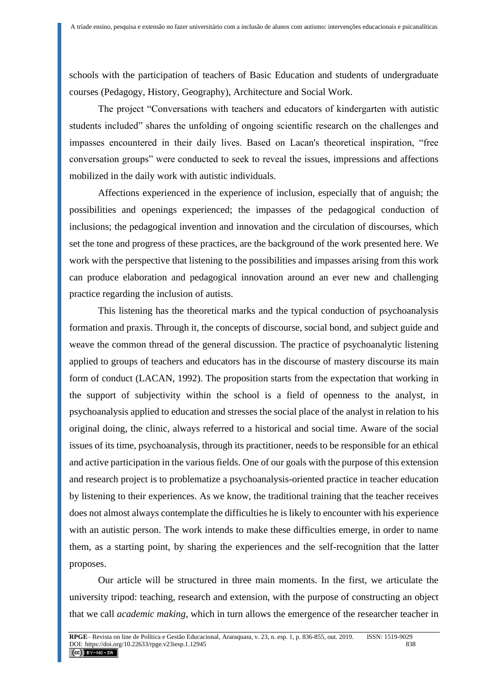schools with the participation of teachers of Basic Education and students of undergraduate courses (Pedagogy, History, Geography), Architecture and Social Work.

The project "Conversations with teachers and educators of kindergarten with autistic students included" shares the unfolding of ongoing scientific research on the challenges and impasses encountered in their daily lives. Based on Lacan's theoretical inspiration, "free conversation groups" were conducted to seek to reveal the issues, impressions and affections mobilized in the daily work with autistic individuals.

Affections experienced in the experience of inclusion, especially that of anguish; the possibilities and openings experienced; the impasses of the pedagogical conduction of inclusions; the pedagogical invention and innovation and the circulation of discourses, which set the tone and progress of these practices, are the background of the work presented here. We work with the perspective that listening to the possibilities and impasses arising from this work can produce elaboration and pedagogical innovation around an ever new and challenging practice regarding the inclusion of autists.

This listening has the theoretical marks and the typical conduction of psychoanalysis formation and praxis. Through it, the concepts of discourse, social bond, and subject guide and weave the common thread of the general discussion. The practice of psychoanalytic listening applied to groups of teachers and educators has in the discourse of mastery discourse its main form of conduct (LACAN, 1992). The proposition starts from the expectation that working in the support of subjectivity within the school is a field of openness to the analyst, in psychoanalysis applied to education and stresses the social place of the analyst in relation to his original doing, the clinic, always referred to a historical and social time. Aware of the social issues of its time, psychoanalysis, through its practitioner, needs to be responsible for an ethical and active participation in the various fields. One of our goals with the purpose of this extension and research project is to problematize a psychoanalysis-oriented practice in teacher education by listening to their experiences. As we know, the traditional training that the teacher receives does not almost always contemplate the difficulties he is likely to encounter with his experience with an autistic person. The work intends to make these difficulties emerge, in order to name them, as a starting point, by sharing the experiences and the self-recognition that the latter proposes.

Our article will be structured in three main moments. In the first, we articulate the university tripod: teaching, research and extension, with the purpose of constructing an object that we call *academic making*, which in turn allows the emergence of the researcher teacher in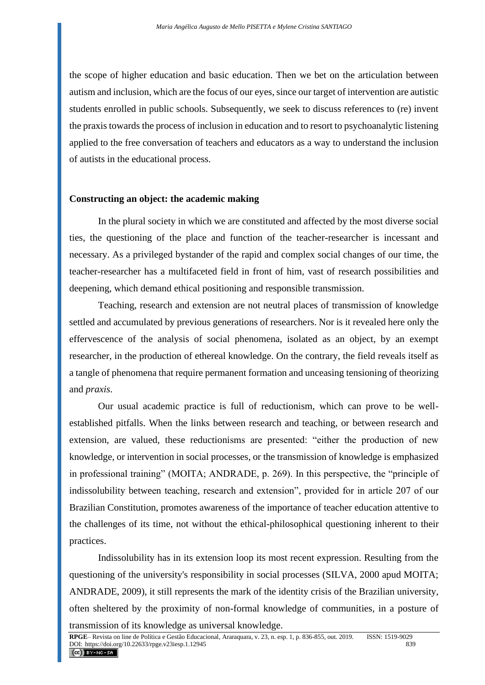the scope of higher education and basic education. Then we bet on the articulation between autism and inclusion, which are the focus of our eyes, since our target of intervention are autistic students enrolled in public schools. Subsequently, we seek to discuss references to (re) invent the praxis towards the process of inclusion in education and to resort to psychoanalytic listening applied to the free conversation of teachers and educators as a way to understand the inclusion of autists in the educational process.

### **Constructing an object: the academic making**

In the plural society in which we are constituted and affected by the most diverse social ties, the questioning of the place and function of the teacher-researcher is incessant and necessary. As a privileged bystander of the rapid and complex social changes of our time, the teacher-researcher has a multifaceted field in front of him, vast of research possibilities and deepening, which demand ethical positioning and responsible transmission.

Teaching, research and extension are not neutral places of transmission of knowledge settled and accumulated by previous generations of researchers. Nor is it revealed here only the effervescence of the analysis of social phenomena, isolated as an object, by an exempt researcher, in the production of ethereal knowledge. On the contrary, the field reveals itself as a tangle of phenomena that require permanent formation and unceasing tensioning of theorizing and *praxis*.

Our usual academic practice is full of reductionism, which can prove to be wellestablished pitfalls. When the links between research and teaching, or between research and extension, are valued, these reductionisms are presented: "either the production of new knowledge, or intervention in social processes, or the transmission of knowledge is emphasized in professional training" (MOITA; ANDRADE, p. 269). In this perspective, the "principle of indissolubility between teaching, research and extension", provided for in article 207 of our Brazilian Constitution, promotes awareness of the importance of teacher education attentive to the challenges of its time, not without the ethical-philosophical questioning inherent to their practices.

Indissolubility has in its extension loop its most recent expression. Resulting from the questioning of the university's responsibility in social processes (SILVA, 2000 apud MOITA; ANDRADE, 2009), it still represents the mark of the identity crisis of the Brazilian university, often sheltered by the proximity of non-formal knowledge of communities, in a posture of transmission of its knowledge as universal knowledge.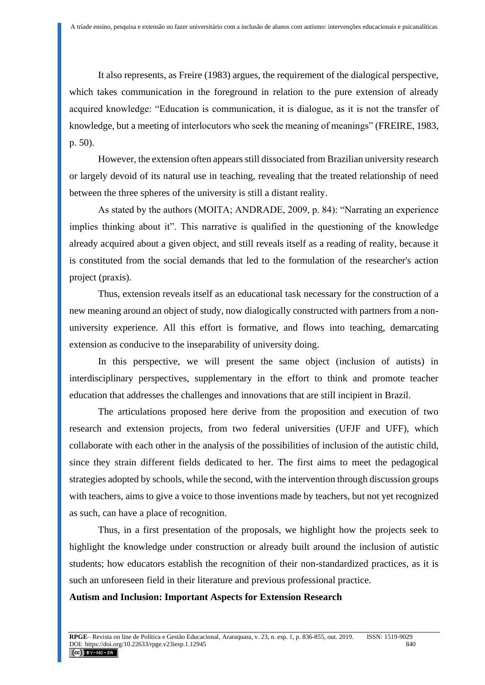It also represents, as Freire (1983) argues, the requirement of the dialogical perspective, which takes communication in the foreground in relation to the pure extension of already acquired knowledge: "Education is communication, it is dialogue, as it is not the transfer of knowledge, but a meeting of interlocutors who seek the meaning of meanings" (FREIRE, 1983, p. 50).

However, the extension often appears still dissociated from Brazilian university research or largely devoid of its natural use in teaching, revealing that the treated relationship of need between the three spheres of the university is still a distant reality.

As stated by the authors (MOITA; ANDRADE, 2009, p. 84): "Narrating an experience implies thinking about it". This narrative is qualified in the questioning of the knowledge already acquired about a given object, and still reveals itself as a reading of reality, because it is constituted from the social demands that led to the formulation of the researcher's action project (praxis).

Thus, extension reveals itself as an educational task necessary for the construction of a new meaning around an object of study, now dialogically constructed with partners from a nonuniversity experience. All this effort is formative, and flows into teaching, demarcating extension as conducive to the inseparability of university doing.

In this perspective, we will present the same object (inclusion of autists) in interdisciplinary perspectives, supplementary in the effort to think and promote teacher education that addresses the challenges and innovations that are still incipient in Brazil.

The articulations proposed here derive from the proposition and execution of two research and extension projects, from two federal universities (UFJF and UFF), which collaborate with each other in the analysis of the possibilities of inclusion of the autistic child, since they strain different fields dedicated to her. The first aims to meet the pedagogical strategies adopted by schools, while the second, with the intervention through discussion groups with teachers, aims to give a voice to those inventions made by teachers, but not yet recognized as such, can have a place of recognition.

Thus, in a first presentation of the proposals, we highlight how the projects seek to highlight the knowledge under construction or already built around the inclusion of autistic students; how educators establish the recognition of their non-standardized practices, as it is such an unforeseen field in their literature and previous professional practice.

#### **Autism and Inclusion: Important Aspects for Extension Research**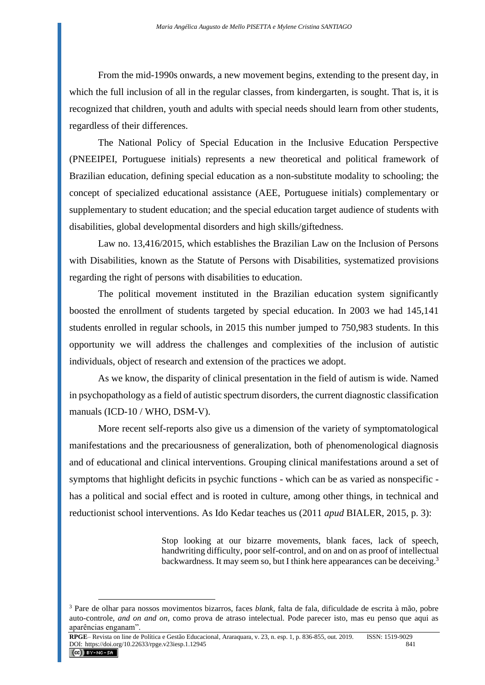From the mid-1990s onwards, a new movement begins, extending to the present day, in which the full inclusion of all in the regular classes, from kindergarten, is sought. That is, it is recognized that children, youth and adults with special needs should learn from other students, regardless of their differences.

The National Policy of Special Education in the Inclusive Education Perspective (PNEEIPEI, Portuguese initials) represents a new theoretical and political framework of Brazilian education, defining special education as a non-substitute modality to schooling; the concept of specialized educational assistance (AEE, Portuguese initials) complementary or supplementary to student education; and the special education target audience of students with disabilities, global developmental disorders and high skills/giftedness.

Law no. 13,416/2015, which establishes the Brazilian Law on the Inclusion of Persons with Disabilities, known as the Statute of Persons with Disabilities, systematized provisions regarding the right of persons with disabilities to education.

The political movement instituted in the Brazilian education system significantly boosted the enrollment of students targeted by special education. In 2003 we had 145,141 students enrolled in regular schools, in 2015 this number jumped to 750,983 students. In this opportunity we will address the challenges and complexities of the inclusion of autistic individuals, object of research and extension of the practices we adopt.

As we know, the disparity of clinical presentation in the field of autism is wide. Named in psychopathology as a field of autistic spectrum disorders, the current diagnostic classification manuals (ICD-10 / WHO, DSM-V).

More recent self-reports also give us a dimension of the variety of symptomatological manifestations and the precariousness of generalization, both of phenomenological diagnosis and of educational and clinical interventions. Grouping clinical manifestations around a set of symptoms that highlight deficits in psychic functions - which can be as varied as nonspecific has a political and social effect and is rooted in culture, among other things, in technical and reductionist school interventions. As Ido Kedar teaches us (2011 *apud* BIALER, 2015, p. 3):

> Stop looking at our bizarre movements, blank faces, lack of speech, handwriting difficulty, poor self-control, and on and on as proof of intellectual backwardness. It may seem so, but I think here appearances can be deceiving.<sup>3</sup>

<sup>3</sup> Pare de olhar para nossos movimentos bizarros, faces *blank*, falta de fala, dificuldade de escrita à mão, pobre auto-controle, *and on and on*, como prova de atraso intelectual. Pode parecer isto, mas eu penso que aqui as aparências enganam".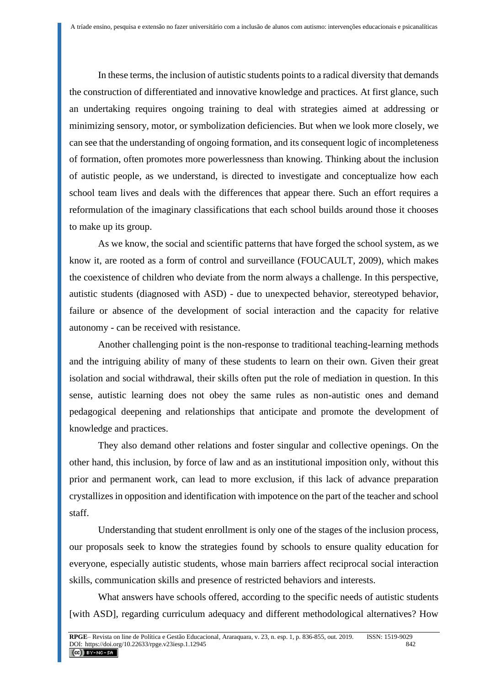In these terms, the inclusion of autistic students points to a radical diversity that demands the construction of differentiated and innovative knowledge and practices. At first glance, such an undertaking requires ongoing training to deal with strategies aimed at addressing or minimizing sensory, motor, or symbolization deficiencies. But when we look more closely, we can see that the understanding of ongoing formation, and its consequent logic of incompleteness of formation, often promotes more powerlessness than knowing. Thinking about the inclusion of autistic people, as we understand, is directed to investigate and conceptualize how each school team lives and deals with the differences that appear there. Such an effort requires a reformulation of the imaginary classifications that each school builds around those it chooses to make up its group.

As we know, the social and scientific patterns that have forged the school system, as we know it, are rooted as a form of control and surveillance (FOUCAULT, 2009), which makes the coexistence of children who deviate from the norm always a challenge. In this perspective, autistic students (diagnosed with ASD) - due to unexpected behavior, stereotyped behavior, failure or absence of the development of social interaction and the capacity for relative autonomy - can be received with resistance.

Another challenging point is the non-response to traditional teaching-learning methods and the intriguing ability of many of these students to learn on their own. Given their great isolation and social withdrawal, their skills often put the role of mediation in question. In this sense, autistic learning does not obey the same rules as non-autistic ones and demand pedagogical deepening and relationships that anticipate and promote the development of knowledge and practices.

They also demand other relations and foster singular and collective openings. On the other hand, this inclusion, by force of law and as an institutional imposition only, without this prior and permanent work, can lead to more exclusion, if this lack of advance preparation crystallizes in opposition and identification with impotence on the part of the teacher and school staff.

Understanding that student enrollment is only one of the stages of the inclusion process, our proposals seek to know the strategies found by schools to ensure quality education for everyone, especially autistic students, whose main barriers affect reciprocal social interaction skills, communication skills and presence of restricted behaviors and interests.

What answers have schools offered, according to the specific needs of autistic students [with ASD], regarding curriculum adequacy and different methodological alternatives? How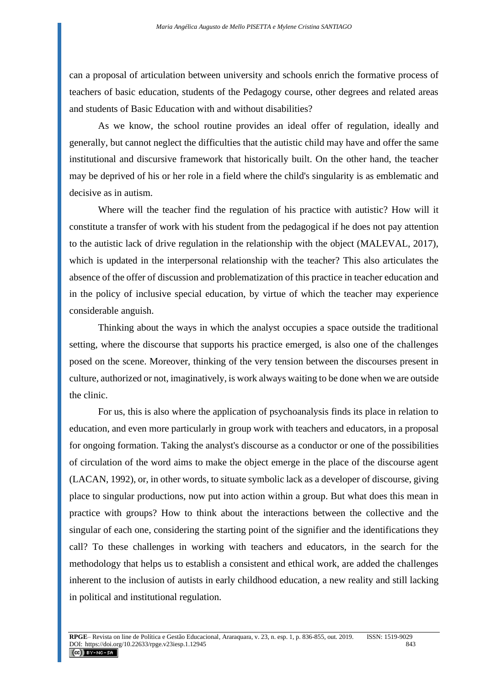can a proposal of articulation between university and schools enrich the formative process of teachers of basic education, students of the Pedagogy course, other degrees and related areas and students of Basic Education with and without disabilities?

As we know, the school routine provides an ideal offer of regulation, ideally and generally, but cannot neglect the difficulties that the autistic child may have and offer the same institutional and discursive framework that historically built. On the other hand, the teacher may be deprived of his or her role in a field where the child's singularity is as emblematic and decisive as in autism.

Where will the teacher find the regulation of his practice with autistic? How will it constitute a transfer of work with his student from the pedagogical if he does not pay attention to the autistic lack of drive regulation in the relationship with the object (MALEVAL, 2017), which is updated in the interpersonal relationship with the teacher? This also articulates the absence of the offer of discussion and problematization of this practice in teacher education and in the policy of inclusive special education, by virtue of which the teacher may experience considerable anguish.

Thinking about the ways in which the analyst occupies a space outside the traditional setting, where the discourse that supports his practice emerged, is also one of the challenges posed on the scene. Moreover, thinking of the very tension between the discourses present in culture, authorized or not, imaginatively, is work always waiting to be done when we are outside the clinic.

For us, this is also where the application of psychoanalysis finds its place in relation to education, and even more particularly in group work with teachers and educators, in a proposal for ongoing formation. Taking the analyst's discourse as a conductor or one of the possibilities of circulation of the word aims to make the object emerge in the place of the discourse agent (LACAN, 1992), or, in other words, to situate symbolic lack as a developer of discourse, giving place to singular productions, now put into action within a group. But what does this mean in practice with groups? How to think about the interactions between the collective and the singular of each one, considering the starting point of the signifier and the identifications they call? To these challenges in working with teachers and educators, in the search for the methodology that helps us to establish a consistent and ethical work, are added the challenges inherent to the inclusion of autists in early childhood education, a new reality and still lacking in political and institutional regulation.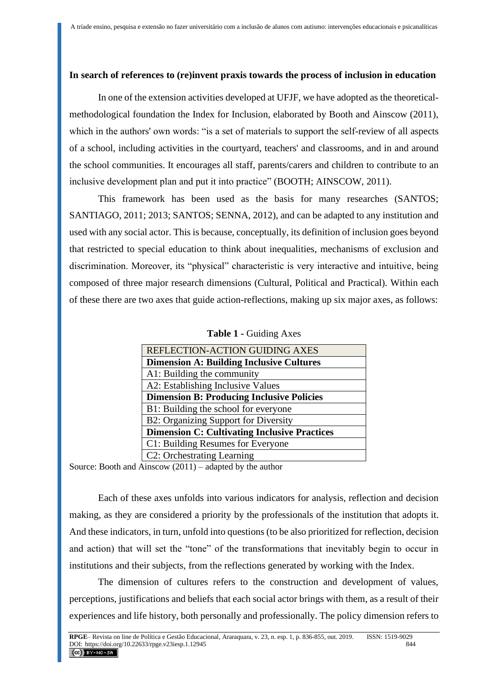### **In search of references to (re)invent praxis towards the process of inclusion in education**

In one of the extension activities developed at UFJF, we have adopted as the theoreticalmethodological foundation the Index for Inclusion, elaborated by Booth and Ainscow (2011), which in the authors' own words: "is a set of materials to support the self-review of all aspects of a school, including activities in the courtyard, teachers' and classrooms, and in and around the school communities. It encourages all staff, parents/carers and children to contribute to an inclusive development plan and put it into practice" (BOOTH; AINSCOW, 2011).

This framework has been used as the basis for many researches (SANTOS; SANTIAGO, 2011; 2013; SANTOS; SENNA, 2012), and can be adapted to any institution and used with any social actor. This is because, conceptually, its definition of inclusion goes beyond that restricted to special education to think about inequalities, mechanisms of exclusion and discrimination. Moreover, its "physical" characteristic is very interactive and intuitive, being composed of three major research dimensions (Cultural, Political and Practical). Within each of these there are two axes that guide action-reflections, making up six major axes, as follows:

|  |  | <b>Table 1 - Guiding Axes</b> |  |
|--|--|-------------------------------|--|
|--|--|-------------------------------|--|

| REFLECTION-ACTION GUIDING AXES                      |  |  |  |
|-----------------------------------------------------|--|--|--|
| <b>Dimension A: Building Inclusive Cultures</b>     |  |  |  |
| A1: Building the community                          |  |  |  |
| A2: Establishing Inclusive Values                   |  |  |  |
| <b>Dimension B: Producing Inclusive Policies</b>    |  |  |  |
| B1: Building the school for everyone                |  |  |  |
| <b>B2: Organizing Support for Diversity</b>         |  |  |  |
| <b>Dimension C: Cultivating Inclusive Practices</b> |  |  |  |
| C1: Building Resumes for Everyone                   |  |  |  |
| C2: Orchestrating Learning                          |  |  |  |

Source: Booth and Ainscow (2011) – adapted by the author

Each of these axes unfolds into various indicators for analysis, reflection and decision making, as they are considered a priority by the professionals of the institution that adopts it. And these indicators, in turn, unfold into questions (to be also prioritized for reflection, decision and action) that will set the "tone" of the transformations that inevitably begin to occur in institutions and their subjects, from the reflections generated by working with the Index.

The dimension of cultures refers to the construction and development of values, perceptions, justifications and beliefs that each social actor brings with them, as a result of their experiences and life history, both personally and professionally. The policy dimension refers to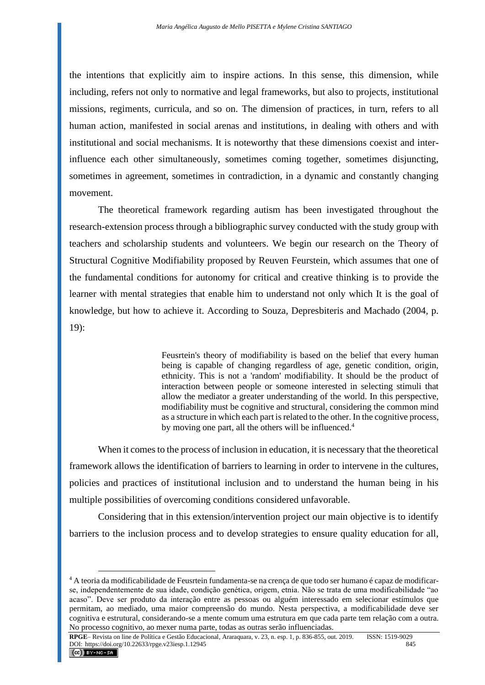the intentions that explicitly aim to inspire actions. In this sense, this dimension, while including, refers not only to normative and legal frameworks, but also to projects, institutional missions, regiments, curricula, and so on. The dimension of practices, in turn, refers to all human action, manifested in social arenas and institutions, in dealing with others and with institutional and social mechanisms. It is noteworthy that these dimensions coexist and interinfluence each other simultaneously, sometimes coming together, sometimes disjuncting, sometimes in agreement, sometimes in contradiction, in a dynamic and constantly changing movement.

The theoretical framework regarding autism has been investigated throughout the research-extension process through a bibliographic survey conducted with the study group with teachers and scholarship students and volunteers. We begin our research on the Theory of Structural Cognitive Modifiability proposed by Reuven Feurstein, which assumes that one of the fundamental conditions for autonomy for critical and creative thinking is to provide the learner with mental strategies that enable him to understand not only which It is the goal of knowledge, but how to achieve it. According to Souza, Depresbiteris and Machado (2004, p. 19):

> Feusrtein's theory of modifiability is based on the belief that every human being is capable of changing regardless of age, genetic condition, origin, ethnicity. This is not a 'random' modifiability. It should be the product of interaction between people or someone interested in selecting stimuli that allow the mediator a greater understanding of the world. In this perspective, modifiability must be cognitive and structural, considering the common mind as a structure in which each part is related to the other. In the cognitive process, by moving one part, all the others will be influenced.<sup>4</sup>

When it comes to the process of inclusion in education, it is necessary that the theoretical framework allows the identification of barriers to learning in order to intervene in the cultures, policies and practices of institutional inclusion and to understand the human being in his multiple possibilities of overcoming conditions considered unfavorable.

Considering that in this extension/intervention project our main objective is to identify barriers to the inclusion process and to develop strategies to ensure quality education for all,

<sup>4</sup> A teoria da modificabilidade de Feusrtein fundamenta-se na crença de que todo ser humano é capaz de modificarse, independentemente de sua idade, condição genética, origem, etnia. Não se trata de uma modificabilidade "ao acaso". Deve ser produto da interação entre as pessoas ou alguém interessado em selecionar estímulos que permitam, ao mediado, uma maior compreensão do mundo. Nesta perspectiva, a modificabilidade deve ser cognitiva e estrutural, considerando-se a mente comum uma estrutura em que cada parte tem relação com a outra. No processo cognitivo, ao mexer numa parte, todas as outras serão influenciadas.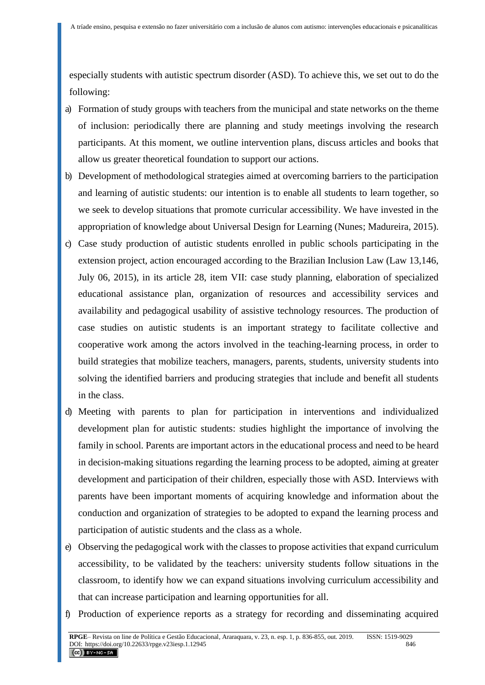especially students with autistic spectrum disorder (ASD). To achieve this, we set out to do the following:

- a) Formation of study groups with teachers from the municipal and state networks on the theme of inclusion: periodically there are planning and study meetings involving the research participants. At this moment, we outline intervention plans, discuss articles and books that allow us greater theoretical foundation to support our actions.
- b) Development of methodological strategies aimed at overcoming barriers to the participation and learning of autistic students: our intention is to enable all students to learn together, so we seek to develop situations that promote curricular accessibility. We have invested in the appropriation of knowledge about Universal Design for Learning (Nunes; Madureira, 2015).
- c) Case study production of autistic students enrolled in public schools participating in the extension project, action encouraged according to the Brazilian Inclusion Law (Law 13,146, July 06, 2015), in its article 28, item VII: case study planning, elaboration of specialized educational assistance plan, organization of resources and accessibility services and availability and pedagogical usability of assistive technology resources. The production of case studies on autistic students is an important strategy to facilitate collective and cooperative work among the actors involved in the teaching-learning process, in order to build strategies that mobilize teachers, managers, parents, students, university students into solving the identified barriers and producing strategies that include and benefit all students in the class.
- d) Meeting with parents to plan for participation in interventions and individualized development plan for autistic students: studies highlight the importance of involving the family in school. Parents are important actors in the educational process and need to be heard in decision-making situations regarding the learning process to be adopted, aiming at greater development and participation of their children, especially those with ASD. Interviews with parents have been important moments of acquiring knowledge and information about the conduction and organization of strategies to be adopted to expand the learning process and participation of autistic students and the class as a whole.
- e) Observing the pedagogical work with the classes to propose activities that expand curriculum accessibility, to be validated by the teachers: university students follow situations in the classroom, to identify how we can expand situations involving curriculum accessibility and that can increase participation and learning opportunities for all.
- f) Production of experience reports as a strategy for recording and disseminating acquired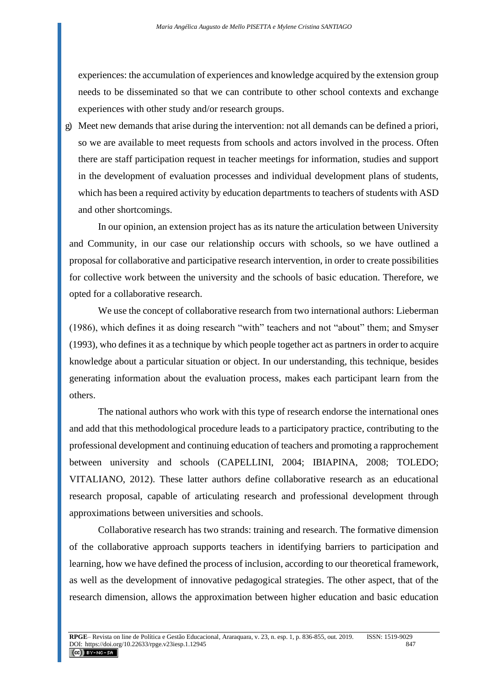experiences: the accumulation of experiences and knowledge acquired by the extension group needs to be disseminated so that we can contribute to other school contexts and exchange experiences with other study and/or research groups.

g) Meet new demands that arise during the intervention: not all demands can be defined a priori, so we are available to meet requests from schools and actors involved in the process. Often there are staff participation request in teacher meetings for information, studies and support in the development of evaluation processes and individual development plans of students, which has been a required activity by education departments to teachers of students with ASD and other shortcomings.

In our opinion, an extension project has as its nature the articulation between University and Community, in our case our relationship occurs with schools, so we have outlined a proposal for collaborative and participative research intervention, in order to create possibilities for collective work between the university and the schools of basic education. Therefore, we opted for a collaborative research.

We use the concept of collaborative research from two international authors: Lieberman (1986), which defines it as doing research "with" teachers and not "about" them; and Smyser (1993), who defines it as a technique by which people together act as partners in order to acquire knowledge about a particular situation or object. In our understanding, this technique, besides generating information about the evaluation process, makes each participant learn from the others.

The national authors who work with this type of research endorse the international ones and add that this methodological procedure leads to a participatory practice, contributing to the professional development and continuing education of teachers and promoting a rapprochement between university and schools (CAPELLINI, 2004; IBIAPINA, 2008; TOLEDO; VITALIANO, 2012). These latter authors define collaborative research as an educational research proposal, capable of articulating research and professional development through approximations between universities and schools.

Collaborative research has two strands: training and research. The formative dimension of the collaborative approach supports teachers in identifying barriers to participation and learning, how we have defined the process of inclusion, according to our theoretical framework, as well as the development of innovative pedagogical strategies. The other aspect, that of the research dimension, allows the approximation between higher education and basic education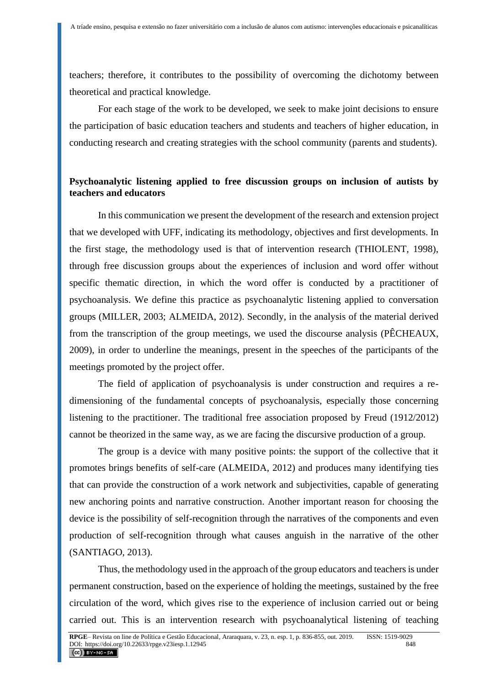teachers; therefore, it contributes to the possibility of overcoming the dichotomy between theoretical and practical knowledge.

For each stage of the work to be developed, we seek to make joint decisions to ensure the participation of basic education teachers and students and teachers of higher education, in conducting research and creating strategies with the school community (parents and students).

## **Psychoanalytic listening applied to free discussion groups on inclusion of autists by teachers and educators**

In this communication we present the development of the research and extension project that we developed with UFF, indicating its methodology, objectives and first developments. In the first stage, the methodology used is that of intervention research (THIOLENT, 1998), through free discussion groups about the experiences of inclusion and word offer without specific thematic direction, in which the word offer is conducted by a practitioner of psychoanalysis. We define this practice as psychoanalytic listening applied to conversation groups (MILLER, 2003; ALMEIDA, 2012). Secondly, in the analysis of the material derived from the transcription of the group meetings, we used the discourse analysis (PÊCHEAUX, 2009), in order to underline the meanings, present in the speeches of the participants of the meetings promoted by the project offer.

The field of application of psychoanalysis is under construction and requires a redimensioning of the fundamental concepts of psychoanalysis, especially those concerning listening to the practitioner. The traditional free association proposed by Freud (1912/2012) cannot be theorized in the same way, as we are facing the discursive production of a group.

The group is a device with many positive points: the support of the collective that it promotes brings benefits of self-care (ALMEIDA, 2012) and produces many identifying ties that can provide the construction of a work network and subjectivities, capable of generating new anchoring points and narrative construction. Another important reason for choosing the device is the possibility of self-recognition through the narratives of the components and even production of self-recognition through what causes anguish in the narrative of the other (SANTIAGO, 2013).

Thus, the methodology used in the approach of the group educators and teachers is under permanent construction, based on the experience of holding the meetings, sustained by the free circulation of the word, which gives rise to the experience of inclusion carried out or being carried out. This is an intervention research with psychoanalytical listening of teaching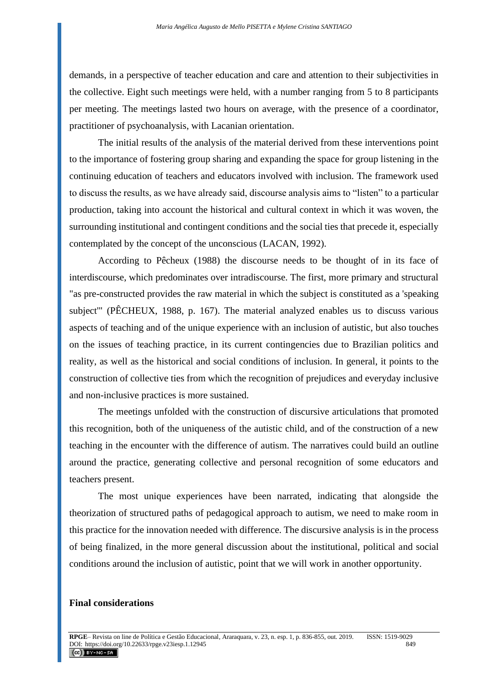demands, in a perspective of teacher education and care and attention to their subjectivities in the collective. Eight such meetings were held, with a number ranging from 5 to 8 participants per meeting. The meetings lasted two hours on average, with the presence of a coordinator, practitioner of psychoanalysis, with Lacanian orientation.

The initial results of the analysis of the material derived from these interventions point to the importance of fostering group sharing and expanding the space for group listening in the continuing education of teachers and educators involved with inclusion. The framework used to discuss the results, as we have already said, discourse analysis aims to "listen" to a particular production, taking into account the historical and cultural context in which it was woven, the surrounding institutional and contingent conditions and the social ties that precede it, especially contemplated by the concept of the unconscious (LACAN, 1992).

According to Pêcheux (1988) the discourse needs to be thought of in its face of interdiscourse, which predominates over intradiscourse. The first, more primary and structural "as pre-constructed provides the raw material in which the subject is constituted as a 'speaking subject'" (PÊCHEUX, 1988, p. 167). The material analyzed enables us to discuss various aspects of teaching and of the unique experience with an inclusion of autistic, but also touches on the issues of teaching practice, in its current contingencies due to Brazilian politics and reality, as well as the historical and social conditions of inclusion. In general, it points to the construction of collective ties from which the recognition of prejudices and everyday inclusive and non-inclusive practices is more sustained.

The meetings unfolded with the construction of discursive articulations that promoted this recognition, both of the uniqueness of the autistic child, and of the construction of a new teaching in the encounter with the difference of autism. The narratives could build an outline around the practice, generating collective and personal recognition of some educators and teachers present.

The most unique experiences have been narrated, indicating that alongside the theorization of structured paths of pedagogical approach to autism, we need to make room in this practice for the innovation needed with difference. The discursive analysis is in the process of being finalized, in the more general discussion about the institutional, political and social conditions around the inclusion of autistic, point that we will work in another opportunity.

### **Final considerations**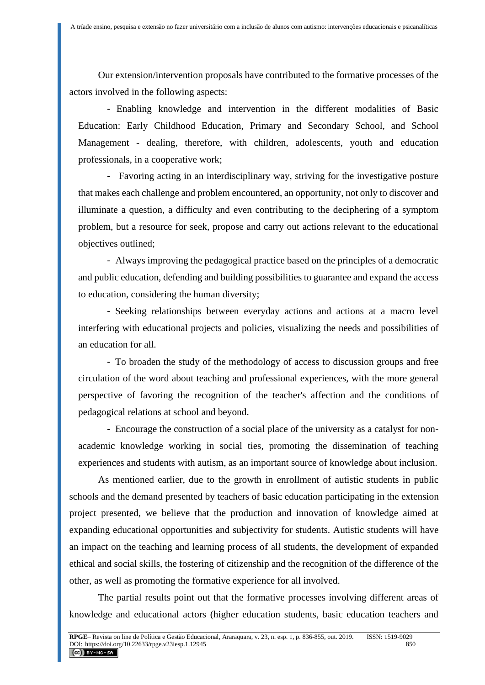Our extension/intervention proposals have contributed to the formative processes of the actors involved in the following aspects:

- Enabling knowledge and intervention in the different modalities of Basic Education: Early Childhood Education, Primary and Secondary School, and School Management - dealing, therefore, with children, adolescents, youth and education professionals, in a cooperative work;

- Favoring acting in an interdisciplinary way, striving for the investigative posture that makes each challenge and problem encountered, an opportunity, not only to discover and illuminate a question, a difficulty and even contributing to the deciphering of a symptom problem, but a resource for seek, propose and carry out actions relevant to the educational objectives outlined;

- Always improving the pedagogical practice based on the principles of a democratic and public education, defending and building possibilities to guarantee and expand the access to education, considering the human diversity;

- Seeking relationships between everyday actions and actions at a macro level interfering with educational projects and policies, visualizing the needs and possibilities of an education for all.

- To broaden the study of the methodology of access to discussion groups and free circulation of the word about teaching and professional experiences, with the more general perspective of favoring the recognition of the teacher's affection and the conditions of pedagogical relations at school and beyond.

- Encourage the construction of a social place of the university as a catalyst for nonacademic knowledge working in social ties, promoting the dissemination of teaching experiences and students with autism, as an important source of knowledge about inclusion.

As mentioned earlier, due to the growth in enrollment of autistic students in public schools and the demand presented by teachers of basic education participating in the extension project presented, we believe that the production and innovation of knowledge aimed at expanding educational opportunities and subjectivity for students. Autistic students will have an impact on the teaching and learning process of all students, the development of expanded ethical and social skills, the fostering of citizenship and the recognition of the difference of the other, as well as promoting the formative experience for all involved.

The partial results point out that the formative processes involving different areas of knowledge and educational actors (higher education students, basic education teachers and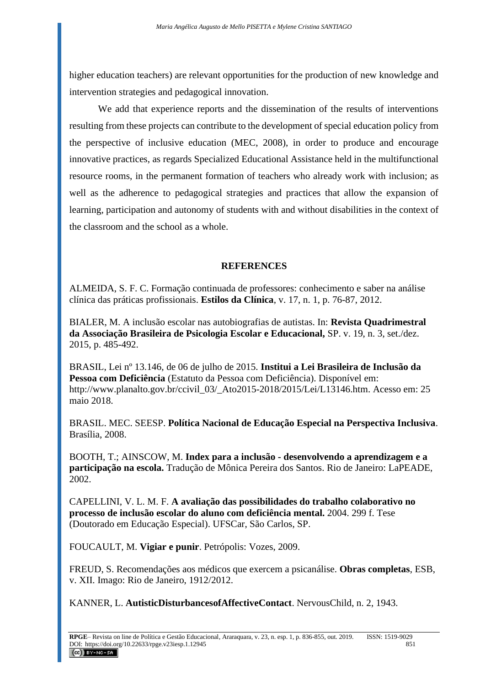higher education teachers) are relevant opportunities for the production of new knowledge and intervention strategies and pedagogical innovation.

We add that experience reports and the dissemination of the results of interventions resulting from these projects can contribute to the development of special education policy from the perspective of inclusive education (MEC, 2008), in order to produce and encourage innovative practices, as regards Specialized Educational Assistance held in the multifunctional resource rooms, in the permanent formation of teachers who already work with inclusion; as well as the adherence to pedagogical strategies and practices that allow the expansion of learning, participation and autonomy of students with and without disabilities in the context of the classroom and the school as a whole.

### **REFERENCES**

ALMEIDA, S. F. C. Formação continuada de professores: conhecimento e saber na análise clínica das práticas profissionais. **Estilos da Clínica**, v. 17, n. 1, p. 76-87, 2012.

BIALER, M. A inclusão escolar nas autobiografias de autistas. In: **Revista Quadrimestral da Associação Brasileira de Psicologia Escolar e Educacional,** SP. v. 19, n. 3, set./dez. 2015, p. 485-492.

BRASIL, Lei nº 13.146, de 06 de julho de 2015. **Institui a Lei Brasileira de Inclusão da Pessoa com Deficiência** (Estatuto da Pessoa com Deficiência). Disponível em: http://www.planalto.gov.br/ccivil\_03/\_Ato2015-2018/2015/Lei/L13146.htm. Acesso em: 25 maio 2018.

BRASIL. MEC. SEESP. **Política Nacional de Educação Especial na Perspectiva Inclusiva**. Brasília, 2008.

BOOTH, T.; AINSCOW, M. **Index para a inclusão - desenvolvendo a aprendizagem e a participação na escola.** Tradução de Mônica Pereira dos Santos. Rio de Janeiro: LaPEADE, 2002.

CAPELLINI, V. L. M. F. **A avaliação das possibilidades do trabalho colaborativo no processo de inclusão escolar do aluno com deficiência mental.** 2004. 299 f. Tese (Doutorado em Educação Especial). UFSCar, São Carlos, SP.

FOUCAULT, M. **Vigiar e punir**. Petrópolis: Vozes, 2009.

FREUD, S. Recomendações aos médicos que exercem a psicanálise. **Obras completas**, ESB, v. XII. Imago: Rio de Janeiro, 1912/2012.

KANNER, L. **AutisticDisturbancesofAffectiveContact**. NervousChild, n. 2, 1943.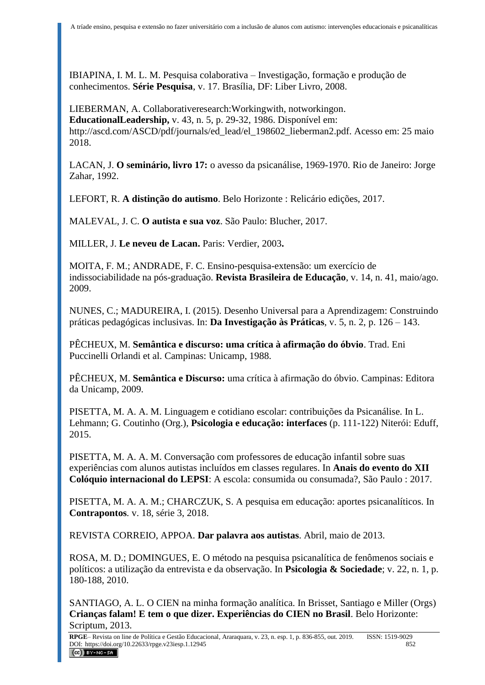IBIAPINA, I. M. L. M. Pesquisa colaborativa – Investigação, formação e produção de conhecimentos. **Série Pesquisa**, v. 17. Brasília, DF: Liber Livro, 2008.

LIEBERMAN, A. Collaborativeresearch:Workingwith, notworkingon. **EducationalLeadership,** v. 43, n. 5, p. 29-32, 1986. Disponível em: [http://ascd.com/ASCD/pdf/journals/ed\\_lead/el\\_198602\\_lieberman2.pdf.](http://ascd.com/ASCD/pdf/journals/ed_lead/el_198602_lieberman2.pdf) Acesso em: 25 maio 2018.

LACAN, J. **O seminário, livro 17:** o avesso da psicanálise, 1969-1970. Rio de Janeiro: Jorge Zahar, 1992.

LEFORT, R. **A distinção do autismo**. Belo Horizonte : Relicário edições, 2017.

MALEVAL, J. C. **O autista e sua voz**. São Paulo: Blucher, 2017.

MILLER, J. **Le neveu de Lacan.** Paris: Verdier, 2003**.**

MOITA, F. M.; ANDRADE, F. C. Ensino-pesquisa-extensão: um exercício de indissociabilidade na pós-graduação. **Revista Brasileira de Educação**, v. 14, n. 41, maio/ago. 2009.

NUNES, C.; MADUREIRA, I. (2015). Desenho Universal para a Aprendizagem: Construindo práticas pedagógicas inclusivas. In: **Da Investigação às Práticas**, v. 5, n. 2, p. 126 – 143.

PÊCHEUX, M. **Semântica e discurso: uma crítica à afirmação do óbvio**. Trad. Eni Puccinelli Orlandi et al. Campinas: Unicamp, 1988.

PÊCHEUX, M. **Semântica e Discurso:** uma crítica à afirmação do óbvio. Campinas: Editora da Unicamp, 2009.

PISETTA, M. A. A. M. Linguagem e cotidiano escolar: contribuições da Psicanálise. In L. Lehmann; G. Coutinho (Org.), **Psicologia e educação: interfaces** (p. 111-122) Niterói: Eduff, 2015.

PISETTA, M. A. A. M. Conversação com professores de educação infantil sobre suas experiências com alunos autistas incluídos em classes regulares. In **Anais do evento do XII Colóquio internacional do LEPSI**: A escola: consumida ou consumada?, São Paulo : 2017.

PISETTA, M. A. A. M.; CHARCZUK, S. A pesquisa em educação: aportes psicanalíticos. In **Contrapontos***.* v. 18, série 3, 2018.

REVISTA CORREIO, APPOA. **Dar palavra aos autistas**. Abril, maio de 2013.

ROSA, M. D.; DOMINGUES, E. O método na pesquisa psicanalítica de fenômenos sociais e políticos: a utilização da entrevista e da observação. In **Psicologia & Sociedade**; v. 22, n. 1, p. 180-188, 2010.

SANTIAGO, A. L. O CIEN na minha formação analítica. In Brisset, Santiago e Miller (Orgs) **Crianças falam! E tem o que dizer. Experiências do CIEN no Brasil**. Belo Horizonte: Scriptum, 2013.